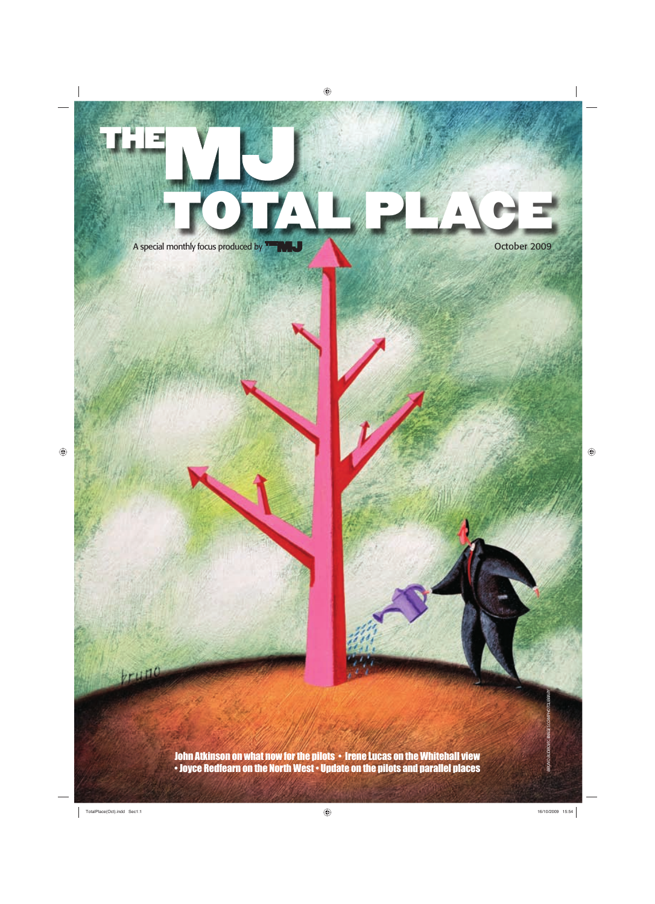

A special monthly focus produced by **THE RELE A special monthly focus produced by THE RELE** 

kruno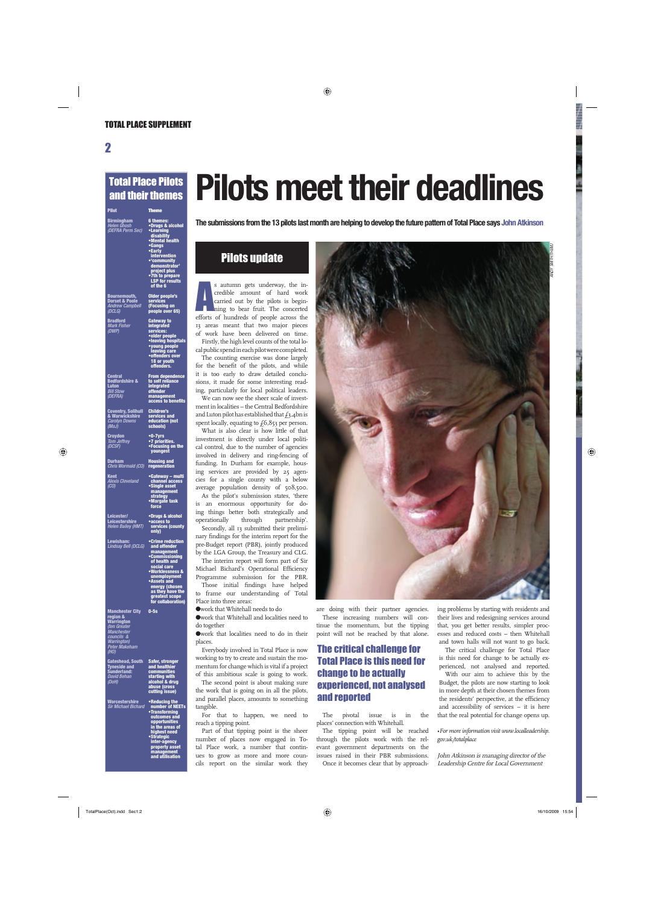#### Total Place Pilots and their themes

| Pilot                                                                                        | <b>Theme</b>                                                                                                                                                                                                                       |
|----------------------------------------------------------------------------------------------|------------------------------------------------------------------------------------------------------------------------------------------------------------------------------------------------------------------------------------|
| Birmingham<br>Helen Ghosh<br>(DEFRA Perm Sec)                                                | 6 themes:<br>•Drugs & alcohol<br>•Learning<br>disability<br>•Mental health<br>•Gangs<br>•Early<br>intervention<br>•demonstrator<br>•demonstrator<br>project plus<br>project plus<br>•7th to prepare<br>LSP for results<br>of the 6 |
| <b>Bournemouth,<br/>Dorset &amp; Poole</b><br>Andrew Campbell<br>(DCLG)                      | Older people's<br>services<br>(Focusing on<br>people over 65)                                                                                                                                                                      |
| <mark>Bradford</mark><br>Mark Fisher<br>(DWP)                                                | Gateway to<br>integrated<br>services:<br>•older people<br>•leaving hospitals<br>•young people<br>eaving care<br>•eaffenders awer<br>offenders over<br>18 or youth<br>offenders.                                                    |
| <b>Central</b><br><b>Bedfordshire &amp;</b><br>Luton<br><b>Luton</b><br>Bill Stow<br>(DEFRA) | From dependence<br>to self reliance<br>integrated<br>offender<br>management<br>access to benefits                                                                                                                                  |
| Coventry, Solihull<br>& Warwickshire<br><i>Carolyn Downs</i><br>(MoJ)                        | <u>Children's</u><br>services and<br>education (not<br>schools)                                                                                                                                                                    |
| <mark>Croydon</mark><br>Tom Jeffrey<br>(DCSF)                                                | ∙0-7yrs<br>∙7 priorities.<br>•Focusing on the<br><b>youngest</b>                                                                                                                                                                   |
| Durham<br>Chris Wormald (CO)                                                                 | Housing and<br>regeneration                                                                                                                                                                                                        |
| <u>Kent</u><br>.<br>Alexis Cleveland<br>(CO)                                                 | •Gateway – multi<br>•channel access<br>•Single asset<br>management<br>strategy<br>•Margate task<br>force                                                                                                                           |
| Leicester/<br>Leicestershire<br><b>Helen Bailey (HMT)</b>                                    | •Drugs & alcohol<br>•access to<br>services (county<br>only)                                                                                                                                                                        |
| <mark>Lewisham:</mark><br>Lindsay Bell (DCLG)                                                | •Crime reduction<br>and offender<br>management<br>•Commissioning<br>of health and                                                                                                                                                  |

**• Commissioning social care • Worklessness & unemployment • Assets and energy (chosen as they have the greatest scope for collaboration)**

**0-5s**

**Manchester City region & Warrington** *(ten Greater Manchester councils & Warrington) Peter Makeham (HO)*

*(DoH)*

**Worcestershire** *Sir Michael Bichard*

**Gateshead, South Tyneside and Sunderland:**  *David Behan*  **Safer, stronger and healthier communities starting with alcohol & drug abuse (cross cutting issue)** 

> **• Reducing the number of NEETs • Transforming outcomes and opportunities in the areas of highest need • Strategic inter-agency property asset management and utilisation**

# **Pilots meet their deadlines**

**The submissions from the 13 pilots last month are helping to develop the future pattern of Total Place says John Atkinson**

### Pilots update

s autumn gets underway, the incredible amount of hard work<br>carried out by the pilots is beginning to bear fruit. The concerted<br>efforts of hundreds of people across the s autumn gets underway, the incredible amount of hard work carried out by the pilots is beginning to bear fruit. The concerted 13 areas meant that two major pieces of work have been delivered on time. Firstly, the high level counts of the total lo-

cal public spend in each pilot were completed. The counting exercise was done largely for the benefit of the pilots, and while it is too early to draw detailed conclusions, it made for some interesting reading, particularly for local political leaders. We can now see the sheer scale of invest-

ment in localities – the Central Bedfordshire and Luton pilot has established that  $f_3$ .4bn is spent locally, equating to  $f(6,853)$  per person.

What is also clear is how little of that investment is directly under local political control, due to the number of agencies involved in delivery and ring-fencing of funding. In Durham for example, housing services are provided by 25 agencies for a single county with a below average population density of 508,500. As the pilot's submission states, 'there is an enormous opportunity for doing things better both strategically and operationally through partnership'. Secondly, all 13 submitted their prelimi-

nary findings for the interim report for the pre-Budget report (PBR), jointly produced by the LGA Group, the Treasury and CLG.

The interim report will form part of Sir Michael Bichard's Operational Efficiency Programme submission for the PBR. Those initial findings have helped

to frame our understanding of Total Place into three areas: ●work that Whitehall needs to do

●work that Whitehall and localities need to

do together

●work that localities need to do in their places.

Everybody involved in Total Place is now working to try to create and sustain the momentum for change which is vital if a project of this ambitious scale is going to work.

The second point is about making sure the work that is going on in all the pilots, and parallel places, amounts to something tangible.

For that to happen, we need to reach a tipping point.

Part of that tipping point is the sheer number of places now engaged in Total Place work, a number that continues to grow as more and more councils report on the similar work they



are doing with their partner agencies. These increasing numbers will continue the momentum, but the tipping point will not be reached by that alone.

#### The critical challenge for Total Place is this need for change to be actually experienced, not analysed and reported

The pivotal issue is in the places' connection with Whitehall.

The tipping point will be reached through the pilots work with the relevant government departments on the issues raised in their PBR submissions.

Once it becomes clear that by approach-

ing problems by starting with residents and their lives and redesigning services around that, you get better results, simpler processes and reduced costs – then Whitehall and town halls will not want to go back.

The critical challenge for Total Place is this need for change to be actually experienced, not analysed and reported. With our aim to achieve this by the Budget, the pilots are now starting to look in more depth at their chosen themes from the residents' perspective, at the efficiency and accessibility of services – it is here that the real potential for change opens up.

•*For more information visit www.localleadership. gov.uk/totalplace*

John Atkinson is managing director of the Leadership Centre for Local Government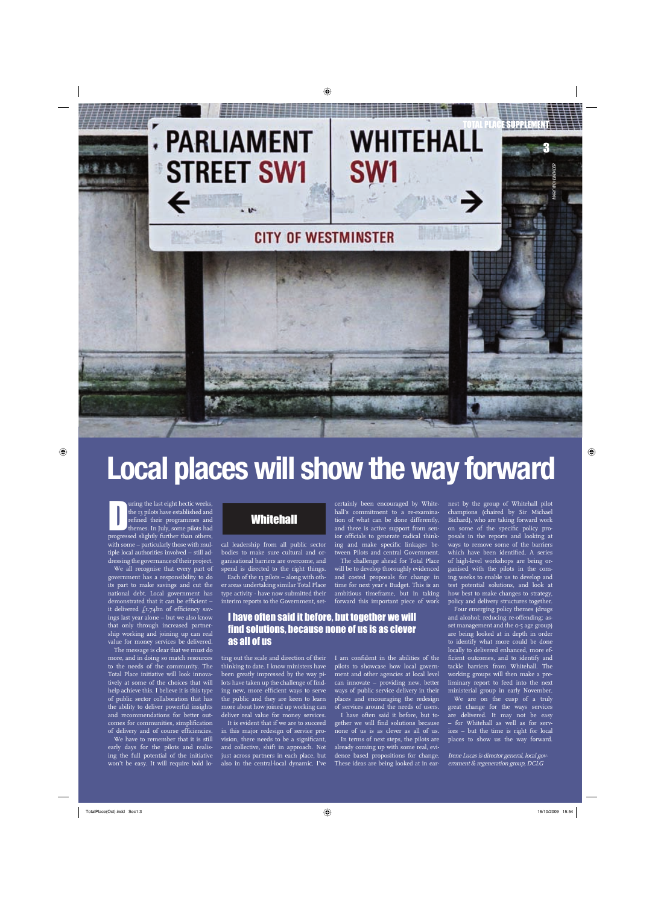# TOTAL PLACE SUPPLEMENT **STREET SW1**

## **CITY OF WESTMINSTER**

SW1

**NAMES** 

**Local places will show the way forward**

uring the last eight hectic weeks,<br>the 13 pilots have established and<br>refined their programmes and<br>themes. In July, some pilots had<br>progressed slightly further than others, uring the last eight hectic weeks, the 13 pilots have established and refined their programmes and themes. In July, some pilots had with some – particularly those with multiple local authorities involved – still addressing the governance of their project.

We all recognise that every part of government has a responsibility to do its part to make savings and cut the national debt. Local government has demonstrated that it can be efficient  $$ it delivered  $f_1.74$ bn of efficiency savings last year alone – but we also know that only through increased partnership working and joining up can real value for money services be delivered.

The message is clear that we must do more, and in doing so match resources to the needs of the community. The Total Place initiative will look innovatively at some of the choices that will help achieve this. I believe it is this type of public sector collaboration that has the ability to deliver powerful insights and recommendations for better outcomes for communities, simplification of delivery and of course efficiencies.

We have to remember that it is still early days for the pilots and realising the full potential of the initiative won't be easy. It will require bold lo-

### **Whitehall**

cal leadership from all public sector bodies to make sure cultural and organisational barriers are overcome, and spend is directed to the right things. Each of the 13 pilots – along with oth-

er areas undertaking similar Total Place type activity - have now submitted their interim reports to the Government, set-

#### I have often said it before, but together we will find solutions, because none of us is as clever as all of us

ting out the scale and direction of their thinking to date. I know ministers have been greatly impressed by the way pilots have taken up the challenge of finding new, more efficient ways to serve the public and they are keen to learn more about how joined up working can deliver real value for money services.

It is evident that if we are to succeed in this major redesign of service provision, there needs to be a significant, and collective, shift in approach. Not just across partners in each place, but also in the central-local dynamic. I've

certainly been encouraged by Whitehall's commitment to a re-examination of what can be done differently, and there is active support from senior officials to generate radical thinking and make specific linkages between Pilots and central Government. The challenge ahead for Total Place

will be to develop thoroughly evidenced and costed proposals for change in time for next year's Budget. This is an ambitious timeframe, but in taking forward this important piece of work

I am confident in the abilities of the pilots to showcase how local government and other agencies at local level can innovate – providing new, better ways of public service delivery in their places and encouraging the redesign of services around the needs of users.

I have often said it before, but together we will find solutions because none of us is as clever as all of us. In terms of next steps, the pilots are already coming up with some real, evi-

dence based propositions for change. These ideas are being looked at in ear-

nest by the group of Whitehall pilot champions (chaired by Sir Michael Bichard), who are taking forward work on some of the specific policy proposals in the reports and looking at ways to remove some of the barriers which have been identified. A series of high-level workshops are being organised with the pilots in the coming weeks to enable us to develop and test potential solutions, and look at how best to make changes to strategy, policy and delivery structures together.

3

*MARK WOHLWENDER*

Four emerging policy themes (drugs and alcohol; reducing re-offending; asset management and the 0-5 age group) are being looked at in depth in order to identify what more could be done locally to delivered enhanced, more efficient outcomes, and to identify and tackle barriers from Whitehall. The working groups will then make a preliminary report to feed into the next ministerial group in early November.

We are on the cusp of a truly great change for the ways services are delivered. It may not be easy – for Whitehall as well as for services – but the time is right for local places to show us the way forward.

Irene Lucas is director general, local government & regeneration group, DCLG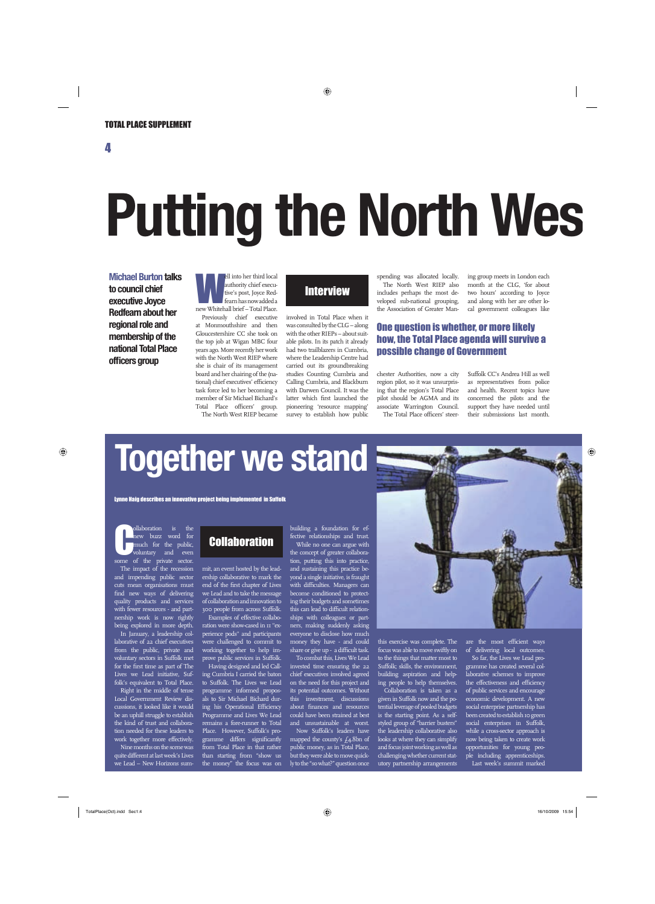4

# **Putting the North Wes**

**Michael Burton talks to council chief executive Joyce Redfearn about her regional role and membership of the national Total Place officers group** 

ell into her third local authority chief executive's post, Joyce Red-<br>fearn has now added a<br>new Whitehall brief – Total Place. authority chief executive's post, Joyce Redfearn has now added a Previously chief executive

at Monmouthshire and then Gloucestershire CC she took on the top job at Wigan MBC four years ago. More recently her work with the North West RIEP where she is chair of its management board and her chairing of the (national) chief executives' efficiency task force led to her becoming a member of Sir Michael Bichard's Total Place officers' group. The North West RIEP became

### **Interview**

involved in Total Place when it was consulted by the CLG – along with the other RIEPs – about suitable pilots. In its patch it already had two trailblazers in Cumbria, where the Leadership Centre had carried out its groundbreaking studies Counting Cumbria and Calling Cumbria, and Blackburn with Darwen Council. It was the latter which first launched the pioneering 'resource mapping' survey to establish how public

spending was allocated locally. The North West RIEP also includes perhaps the most developed sub-national grouping, the Association of Greater Man-

ing group meets in London each month at the CLG, 'for about two hours' according to Joyce and along with her are other local government colleagues like

#### One question is whether, or more likely how, the Total Place agenda will survive a possible change of Government

chester Authorities, now a city region pilot, so it was unsurprising that the region's Total Place pilot should be AGMA and its associate Warrington Council. The Total Place officers' steerSuffolk CC's Andrea Hill as well as representatives from police and health. Recent topics have concerned the pilots and the support they have needed until their submissions last month.

# **Together we stand**

Lynne Haig describes an innovative project being implemented in Suffolk

**C** ollaboration is the new buzz word for the public, voluntary and even some of the private sector new buzz word for much for the public, some of the private sector. The impact of the recession and impending public sector cuts mean organisations must find new ways of delivering quality products and services with fewer resources - and partnership work is now rightly being explored in more depth.

In January, a leadership collaborative of 22 chief executives from the public, private and voluntary sectors in Suffolk met for the first time as part of The Lives we Lead initiative, Suffolk's equivalent to Total Place.

Right in the middle of tense Local Government Review discussions, it looked like it would be an uphill struggle to establish the kind of trust and collaboration needed for these leaders to work together more effectively. Nine months on the scene was quite different at last week's Lives

### we Lead – New Horizons sum-

## **Collaboration**

mit, an event hosted by the leadership collaborative to mark the end of the first chapter of Lives we Lead and to take the message of collaboration and innovation to 300 people from across Suffolk. Examples of effective collaboration were show-cased in 11 "experience pods" and participants were challenged to commit to working together to help improve public services in Suffolk.

Having designed and led Calling Cumbria I carried the baton to Suffolk. The Lives we Lead programme informed proposals to Sir Michael Bichard during his Operational Efficiency Programme and Lives We Lead remains a fore-runner to Total Place. However, Suffolk's programme differs significantly from Total Place in that rather than starting from "show us the money" the focus was on

building a foundation for effective relationships and trust.

While no one can argue with the concept of greater collaboration, putting this into practice, and sustaining this practice beyond a single initiative, is fraught with difficulties. Managers can become conditioned to protecting their budgets and sometimes this can lead to difficult relationships with colleagues or partners, making suddenly asking everyone to disclose how much money they have - and could share or give up - a difficult task.

To combat this, Lives We Lead invested time ensuring the 22 chief executives involved agreed on the need for this project and its potential outcomes. Without this investment, discussions about finances and resources could have been strained at best and unsustainable at worst.

Now Suffolk's leaders have mapped the county's  $f_4$ .8bn of public money, as in Total Place, but they were able to move quickly to the "so what?" question once

this exercise was complete. The focus was able to move swiftly on to the things that matter most to Suffolk; skills, the environment, building aspiration and helping people to help themselves.

Collaboration is taken as a given in Suffolk now and the potential leverage of pooled budgets is the starting point. As a selfstyled group of "barrier busters" the leadership collaborative also looks at where they can simplify and focus joint working as well as challenging whether current statutory partnership arrangements

are the most efficient ways of delivering local outcomes.

So far, the Lives we Lead programme has created several collaborative schemes to improve the effectiveness and efficiency of public services and encourage economic development. A new social enterprise partnership has been created to establish 10 green social enterprises in Suffolk, while a cross-sector approach is now being taken to create work opportunities for young people including apprenticeships. Last week's summit marked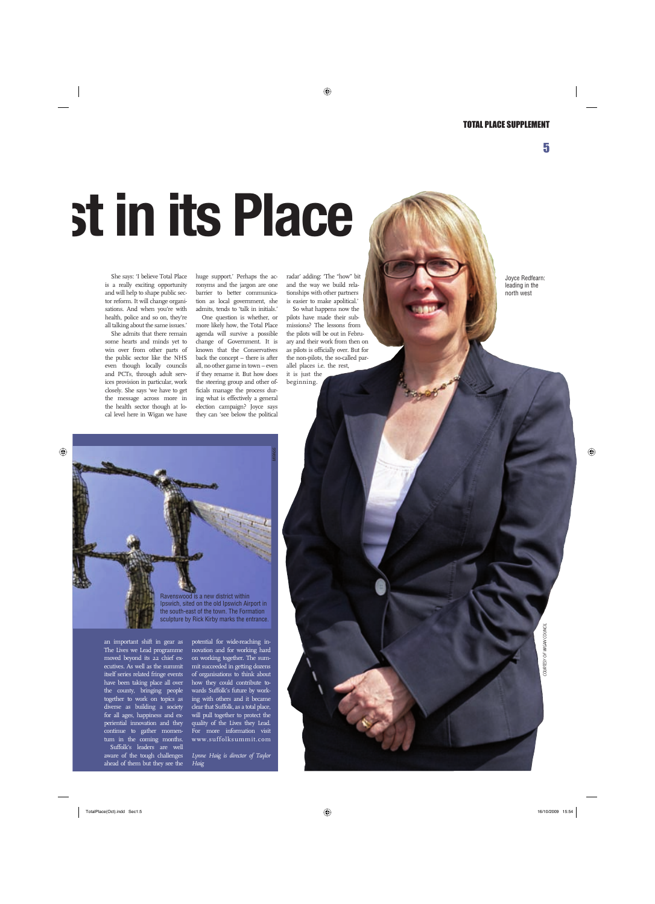5

# **st in its Place**

She says: 'I believe Total Place is a really exciting opportunity and will help to shape public sector reform. It will change organisations. And when you're with health, police and so on, they're all talking about the same issues.'

She admits that there remain some hearts and minds yet to win over from other parts of the public sector like the NHS even though locally councils and PCTs, through adult services provision in particular, work closely. She says 'we have to get the message across more in the health sector though at local level here in Wigan we have huge support.' Perhaps the acronyms and the jargon are one barrier to better communication as local government, she admits, tends to 'talk in initials.'

One question is whether, or more likely how, the Total Place agenda will survive a possible change of Government. It is known that the Conservatives back the concept – there is after all, no other game in town – even if they rename it. But how does the steering group and other officials manage the process during what is effectively a general election campaign? Joyce says they can 'see below the political

radar' adding: 'The "how" bit and the way we build relationships with other partners is easier to make apolitical.'

So what happens now the pilots have made their submissions? The lessons from the pilots will be out in February and their work from then on as pilots is officially over. But for the non-pilots, the so-called parallel places i.e. the rest, it is just the beginning.



an important shift in gear as The Lives we Lead programme moved beyond its 22 chief executives. As well as the summit itself series related fringe events have been taking place all over the county, bringing people together to work on topics as diverse as building a society for all ages, happiness and experiential innovation and they continue to gather momentum in the coming months. Suffolk's leaders are well aware of the tough challenges ahead of them but they see the

potential for wide-reaching innovation and for working hard on working together. The summit succeeded in getting dozens of organisations to think about how they could contribute towards Suffolk's future by working with others and it became clear that Suffolk, as a total place, will pull together to protect the quality of the Lives they Lead. For more information visit www.suffolksummit.com

*Lynne Haig is director of Taylor Haig*

Joyce Redfearn: leading in the north west

*COURTESY OF WIGAN COUNCIL*

COURTESY OF WIGAN COUNCIL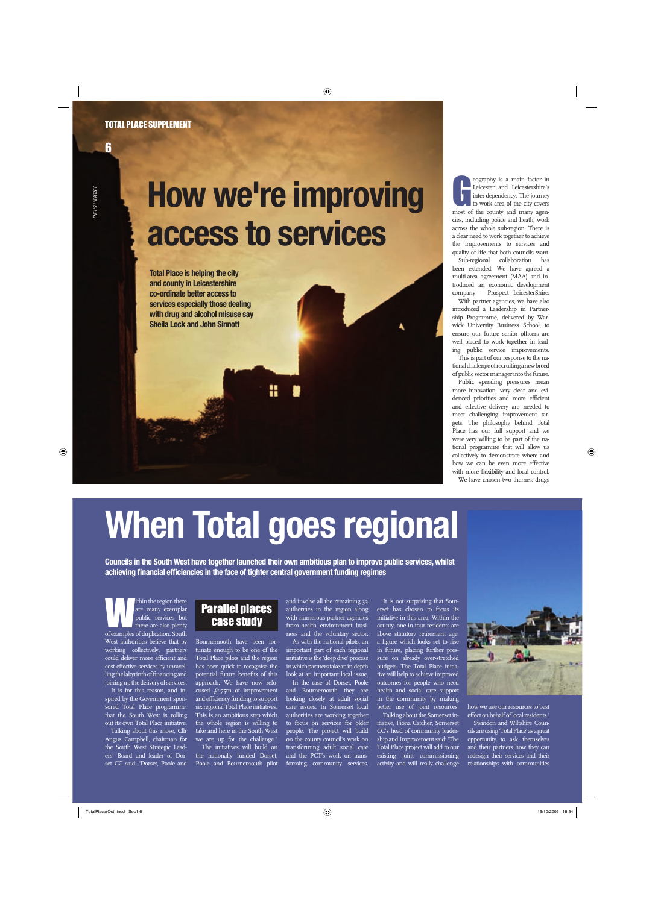# **How we're improving access to services**

**Total Place is helping the city and county in Leicestershire co-ordinate better access to services especially those dealing with drug and alcohol misuse say Sheila Lock and John Sinnott**

eography is a main factor in Leicesters and Leicestershire's inter-dependency. The journey to work area of the city covers most of the county and many ageneography is a main factor in Leicester and Leicestershire's inter-dependency. The journey to work area of the city covers cies, including police and heath, work across the whole sub-region. There is a clear need to work together to achieve the improvements to services and quality of life that both councils want.

Sub-regional collaboration has been extended. We have agreed a multi-area agreement (MAA) and introduced an economic development company – Prospect LeicesterShire.

With partner agencies, we have also introduced a Leadership in Partnership Programme, delivered by Warwick University Business School, to ensure our future senior officers are well placed to work together in leading public service improvements.

This is part of our response to the national challenge of recruiting a new breed of public sector manager into the future.

Public spending pressures mean more innovation, very clear and evidenced priorities and more efficient and effective delivery are needed to meet challenging improvement targets. The philosophy behind Total Place has our full support and we were very willing to be part of the national programme that will allow us collectively to demonstrate where and how we can be even more effective with more flexibility and local control. We have chosen two themes: drugs

# **When Total goes regional**

**Councils in the South West have together launched their own ambitious plan to improve public services, whilst**  achieving financial efficiencies in the face of tighter central government funding regimes

within the region there<br>are many exemplar<br>public services but<br>there are also plenty<br>of examples of dunlication South are many exemplar public services but there are also plenty of examples of duplication. South West authorities believe that by working collectively, partners could deliver more efficient and cost effective services by unravelling the labyrinth of financing and joining up the delivery of services. It is for this reason, and inspired by the Government sponsored Total Place programme, that the South West is rolling out its own Total Place initiative. Talking about this move, Cllr

Angus Campbell, chairman for the South West Strategic Leaders' Board and leader of Dorset CC said: 'Dorset, Poole and

#### Parallel places case study

Bournemouth have been fortunate enough to be one of the Total Place pilots and the region has been quick to recognise the potential future benefits of this approach. We have now refocused  $f_{1.75}$ m of improvement and efficiency funding to support six regional Total Place initiatives. This is an ambitious step which the whole region is willing to take and here in the South West we are up for the challenge."

The initiatives will build on the nationally funded Dorset, Poole and Bournemouth pilot and involve all the remaining 32 authorities in the region along with numerous partner agencies from health, environment, business and the voluntary sector.

As with the national pilots, an important part of each regional initiative is the 'deep dive' process in which partners take an in-depth look at an important local issue.

In the case of Dorset, Poole and Bournemouth they are looking closely at adult social care issues. In Somerset local authorities are working together to focus on services for older people. The project will build on the county council's work on transforming adult social care and the PCT's work on transforming community services.

It is not surprising that Somerset has chosen to focus its initiative in this area. Within the county, one in four residents are above statutory retirement age, a figure which looks set to rise in future, placing further pressure on already over-stretched budgets. The Total Place initiative will help to achieve improved outcomes for people who need health and social care support in the community by making better use of joint resources.

Talking about the Somerset initiative, Fiona Catcher, Somerset CC's head of community leadership and Improvement said: 'The Total Place project will add to our existing joint commissioning activity and will really challenge



effect on behalf of local residents.' Swindon and Wiltshire Councils are using 'Total Place' as a great opportunity to ask themselves and their partners how they can redesign their services and their relationships with communities

6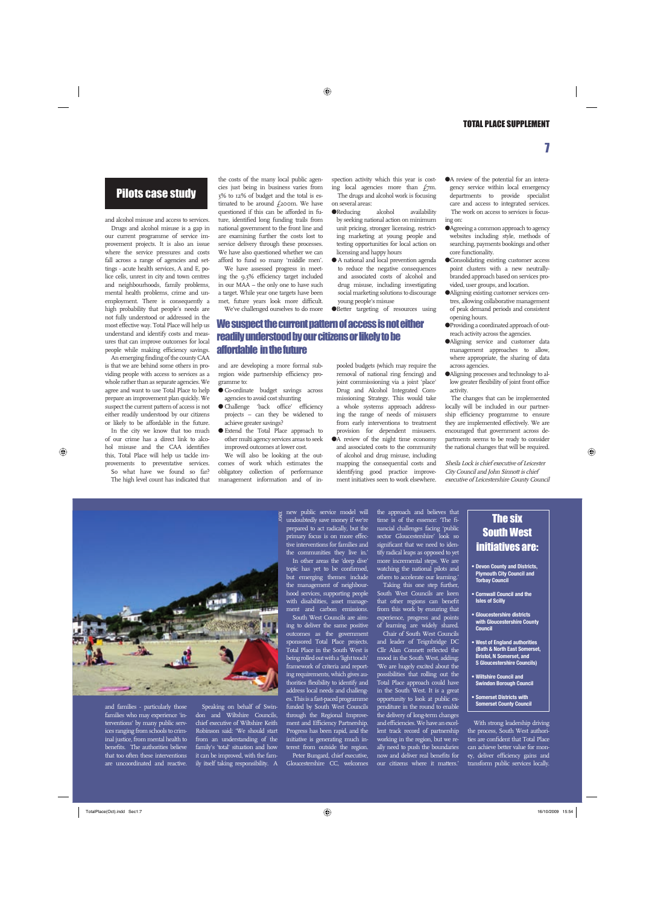#### Pilots case study

and alcohol misuse and access to services.

Drugs and alcohol misuse is a gap in our current programme of service improvement projects. It is also an issue where the service pressures and costs fall across a range of agencies and settings - acute health services, A and E, police cells, unrest in city and town centres and neighbourhoods, family problems, mental health problems, crime and unemployment. There is consequently a high probability that people's needs are not fully understood or addressed in the most effective way. Total Place will help us understand and identify costs and measures that can improve outcomes for local people while making efficiency savings.

An emerging finding of the county CAA is that we are behind some others in providing people with access to services as a whole rather than as separate agencies. We agree and want to use Total Place to help prepare an improvement plan quickly. We suspect the current pattern of access is not either readily understood by our citizens or likely to be affordable in the future.

In the city we know that too much of our crime has a direct link to alcohol misuse and the CAA identifies this, Total Place will help us tackle improvements to preventative services.

So what have we found so far? The high level count has indicated that the costs of the many local public agencies just being in business varies from 3% to 12% of budget and the total is estimated to be around  $f_2$ 200m. We have questioned if this can be afforded in future, identified long funding trails from national government to the front line and are examining further the costs lost to service delivery through these processes. We have also questioned whether we can afford to fund so many 'middle men'.

We have assessed progress in meeting the 9.3% efficiency target included in our MAA – the only one to have such a target. While year one targets have been met, future years look more difficult. We've challenged ourselves to do more spection activity which this year is costing local agencies more than  $f_{7}$ m. The drugs and alcohol work is focusing

on several areas: ● Reducing alcohol availability

- by seeking national action on minimum unit pricing, stronger licensing, restricting marketing at young people and testing opportunities for local action on licensing and happy hours
- A national and local prevention agenda to reduce the negative consequences and associated costs of alcohol and drug misuse, including investigating social marketing solutions to discourage young people's misuse

● Better targeting of resources using

#### We suspect the current pattern of access is not either readily understood by our citizens or likely to be affordable in the future

and are developing a more formal subregion wide partnership efficiency programme to:

- Co-ordinate budget savings across agencies to avoid cost shunting
- Challenge 'back office' efficiency projects – can they be widened to achieve greater savings?
- Extend the Total Place approach to other multi agency services areas to seek improved outcomes at lower cost.

We will also be looking at the outcomes of work which estimates the obligatory collection of performance management information and of inpooled budgets (which may require the removal of national ring fencing) and joint commissioning via a joint 'place' Drug and Alcohol Integrated Commissioning Strategy. This would take a whole systems approach addressing the range of needs of misusers from early interventions to treatment provision for dependent misusers.

● A review of the night time economy and associated costs to the community of alcohol and drug misuse, including mapping the consequential costs and identifying good practice improvement initiatives seen to work elsewhere.

● A review of the potential for an interagency service within local emergency departments to provide specialist care and access to integrated services. The work on access to services is focusing on:

- Agreeing a common approach to agency websites including style, methods of searching, payments bookings and other core functionality.
- Consolidating existing customer access point clusters with a new neutrallybranded approach based on services provided, user groups, and location.
- Aligning existing customer services centres, allowing collaborative management of peak demand periods and consistent opening hours.
- Providing a coordinated approach of outreach activity across the agencies.
- ●Aligning service and customer data management approaches to allow, where appropriate, the sharing of data across agencies.
- Aligning processes and technology to allow greater flexibility of joint front office activity.

The changes that can be implemented locally will be included in our partnership efficiency programme to ensure they are implemented effectively. We are encouraged that government across departments seems to be ready to consider the national changes that will be required.

Sheila Lock is chief executive of Leicester City Council and John Sinnott is chief executive of Leicestershire County Council



and families - particularly those families who may experience 'interventions' by many public services ranging from schools to criminal justice, from mental health to benefits. The authorities believe that too often these interventions are uncoordinated and reactive.

don and Wiltshire Councils, chief executive of Wiltshire Keith Robinson said: 'We should start from an understanding of the family's 'total' situation and how it can be improved, with the family itself taking responsibility. A

new public service model will undoubtedly save money if we're prepared to <u>act radically</u>, but the primary focus is on more effective interventions for families and the communities they live in.' In other areas the 'deep dive'

topic has yet to be confirmed, but emerging themes include the management of neighbourhood services, supporting people with disabilities, asset management and carbon emissions.

South West Councils are aiming to deliver the same positive outcomes as the government sponsored Total Place projects. Total Place in the South West is being rolled out with a 'light touch' framework of criteria and reporting requirements, which gives authorities flexibility to identify and address local needs and challenges. This is a fast-paced programme funded by South West Councils through the Regional Improvement and Efficiency Partnership. Progress has been rapid, and the initiative is generating much interest from outside the region. Peter Bungard, chief executive,

Gloucestershire CC, welcomes

the approach and believes that time is of the essence: 'The financial challenges facing 'public sector Gloucestershire' look so significant that we need to identify radical leaps as opposed to yet more incremental steps. We are watching the national pilots and others to accelerate our learning.'

Taking this one step further, South West Councils are keen that other regions can benefit from this work by ensuring that experience, progress and points

of learning are widely shared. Chair of South West Councils and leader of Teignbridge DC  $\overline{\text{Cllr}}$  Alan Connett reflected the mood in the South West, adding: 'We are hugely excited about the possibilities that rolling out the Total Place approach could have in the South West. It is a great opportunity to look at public expenditure in the round to enable the delivery of long-term changes and efficiencies. We have an excellent track record of partnership working in the region, but we really need to push the boundaries now and deliver real benefits for our citizens where it matters.'

#### **The six** South West initiatives are:

- **Devon County and Districts, Plymouth City Council and Torbay Council**
- **Cornwall Council and the Isles of Scilly**
- **Gloucestershire districts with Gloucestershire County Council**
- **West of England authorities (Bath & North East Somerset, Bristol, N Somerset, and S Gloucestershire Councils)**
- **Wiltshire Council and Swindon Borough Council**
- **Somerset Districts with Somerset County Council**

With strong leadership driving the process, South West authori- $\frac{1}{\pi}$  are confident that Total Place can achieve better value for money, deliver efficiency gains and transform public services locally.

7